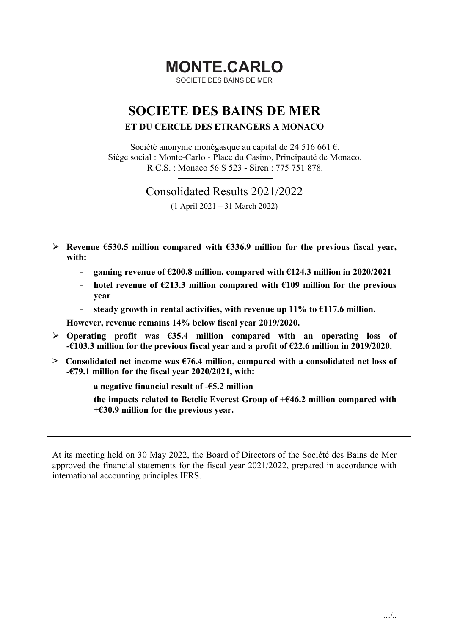# MONTE.CARLO

SOCIETE DES BAINS DE MER

# SOCIETE DES BAINS DE MER

### ET DU CERCLE DES ETRANGERS A MONACO

Société anonyme monégasque au capital de 24 516 661 €. Siège social : Monte-Carlo - Place du Casino, Principauté de Monaco. R.C.S. : Monaco 56 S 523 - Siren : 775 751 878.

Consolidated Results 2021/2022

(1 April 2021 – 31 March 2022)

- $▶$  Revenue €530.5 million compared with €336.9 million for the previous fiscal year, with:
	- gaming revenue of €200.8 million, compared with €124.3 million in 2020/2021
	- hotel revenue of  $\epsilon$ 213.3 million compared with  $\epsilon$ 109 million for the previous year

- steady growth in rental activities, with revenue up 11% to  $\epsilon$ 117.6 million.

However, revenue remains 14% below fiscal year 2019/2020.

- $\triangleright$  Operating profit was  $\epsilon$ 35.4 million compared with an operating loss of -€103.3 million for the previous fiscal year and a profit of €22.6 million in 2019/2020.
- $\geq$  Consolidated net income was  $\epsilon$ 76.4 million, compared with a consolidated net loss of -€79.1 million for the fiscal year 2020/2021, with:
	- a negative financial result of  $-65.2$  million
	- the impacts related to Betclic Everest Group of  $+646.2$  million compared with +€30.9 million for the previous year.

At its meeting held on 30 May 2022, the Board of Directors of the Société des Bains de Mer approved the financial statements for the fiscal year 2021/2022, prepared in accordance with international accounting principles IFRS.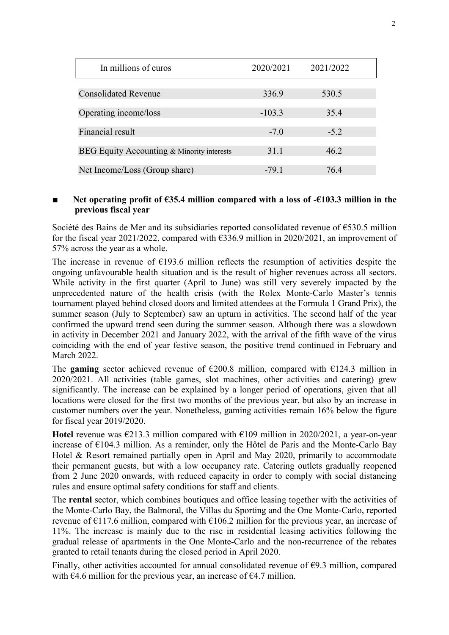| In millions of euros                       | 2020/2021 | 2021/2022 |
|--------------------------------------------|-----------|-----------|
|                                            |           |           |
| <b>Consolidated Revenue</b>                | 336.9     | 530.5     |
|                                            |           |           |
| Operating income/loss                      | $-103.3$  | 35.4      |
| Financial result                           | $-7.0$    | $-5.2$    |
|                                            |           |           |
| BEG Equity Accounting & Minority interests | 31.1      | 46.2      |
|                                            |           |           |
| Net Income/Loss (Group share)              | $-79.1$   | 76.4      |

#### ■ Net operating profit of  $€35.4$  million compared with a loss of  $-€103.3$  million in the previous fiscal year

Société des Bains de Mer and its subsidiaries reported consolidated revenue of €530.5 million for the fiscal year 2021/2022, compared with  $\epsilon$ 336.9 million in 2020/2021, an improvement of 57% across the year as a whole.

The increase in revenue of  $E193.6$  million reflects the resumption of activities despite the ongoing unfavourable health situation and is the result of higher revenues across all sectors. While activity in the first quarter (April to June) was still very severely impacted by the unprecedented nature of the health crisis (with the Rolex Monte-Carlo Master's tennis tournament played behind closed doors and limited attendees at the Formula 1 Grand Prix), the summer season (July to September) saw an upturn in activities. The second half of the year confirmed the upward trend seen during the summer season. Although there was a slowdown in activity in December 2021 and January 2022, with the arrival of the fifth wave of the virus coinciding with the end of year festive season, the positive trend continued in February and March 2022.

The gaming sector achieved revenue of  $\epsilon$ 200.8 million, compared with  $\epsilon$ 124.3 million in 2020/2021. All activities (table games, slot machines, other activities and catering) grew significantly. The increase can be explained by a longer period of operations, given that all locations were closed for the first two months of the previous year, but also by an increase in customer numbers over the year. Nonetheless, gaming activities remain 16% below the figure for fiscal year 2019/2020.

Hotel revenue was  $\epsilon$ 213.3 million compared with  $\epsilon$ 109 million in 2020/2021, a year-on-year increase of €104.3 million. As a reminder, only the Hôtel de Paris and the Monte-Carlo Bay Hotel & Resort remained partially open in April and May 2020, primarily to accommodate their permanent guests, but with a low occupancy rate. Catering outlets gradually reopened from 2 June 2020 onwards, with reduced capacity in order to comply with social distancing rules and ensure optimal safety conditions for staff and clients.

The rental sector, which combines boutiques and office leasing together with the activities of the Monte-Carlo Bay, the Balmoral, the Villas du Sporting and the One Monte-Carlo, reported revenue of  $E117.6$  million, compared with  $E106.2$  million for the previous year, an increase of 11%. The increase is mainly due to the rise in residential leasing activities following the gradual release of apartments in the One Monte-Carlo and the non-recurrence of the rebates granted to retail tenants during the closed period in April 2020.

Finally, other activities accounted for annual consolidated revenue of  $\epsilon$ 9.3 million, compared with  $\epsilon$ 4.6 million for the previous year, an increase of  $\epsilon$ 4.7 million.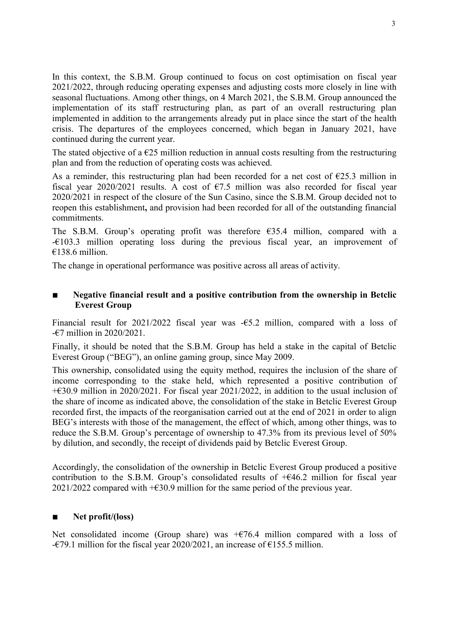In this context, the S.B.M. Group continued to focus on cost optimisation on fiscal year 2021/2022, through reducing operating expenses and adjusting costs more closely in line with seasonal fluctuations. Among other things, on 4 March 2021, the S.B.M. Group announced the implementation of its staff restructuring plan, as part of an overall restructuring plan implemented in addition to the arrangements already put in place since the start of the health crisis. The departures of the employees concerned, which began in January 2021, have continued during the current year.

The stated objective of a  $\epsilon$ 25 million reduction in annual costs resulting from the restructuring plan and from the reduction of operating costs was achieved.

As a reminder, this restructuring plan had been recorded for a net cost of  $E$ 25.3 million in fiscal year 2020/2021 results. A cost of  $\epsilon$ 7.5 million was also recorded for fiscal year 2020/2021 in respect of the closure of the Sun Casino, since the S.B.M. Group decided not to reopen this establishment, and provision had been recorded for all of the outstanding financial commitments.

The S.B.M. Group's operating profit was therefore €35.4 million, compared with a  $-\epsilon$ 103.3 million operating loss during the previous fiscal year, an improvement of  $€138.6$  million.

The change in operational performance was positive across all areas of activity.

## ■ Negative financial result and a positive contribution from the ownership in Betclic Everest Group

Financial result for 2021/2022 fiscal year was -€5.2 million, compared with a loss of -€7 million in 2020/2021.

Finally, it should be noted that the S.B.M. Group has held a stake in the capital of Betclic Everest Group ("BEG"), an online gaming group, since May 2009.

This ownership, consolidated using the equity method, requires the inclusion of the share of income corresponding to the stake held, which represented a positive contribution of +€30.9 million in 2020/2021. For fiscal year 2021/2022, in addition to the usual inclusion of the share of income as indicated above, the consolidation of the stake in Betclic Everest Group recorded first, the impacts of the reorganisation carried out at the end of 2021 in order to align BEG's interests with those of the management, the effect of which, among other things, was to reduce the S.B.M. Group's percentage of ownership to 47.3% from its previous level of 50% by dilution, and secondly, the receipt of dividends paid by Betclic Everest Group.

Accordingly, the consolidation of the ownership in Betclic Everest Group produced a positive contribution to the S.B.M. Group's consolidated results of  $+646.2$  million for fiscal year 2021/2022 compared with  $+$  €30.9 million for the same period of the previous year.

# Net profit/(loss)

Net consolidated income (Group share) was  $+$ €76.4 million compared with a loss of - $\epsilon$ 79.1 million for the fiscal year 2020/2021, an increase of  $\epsilon$ 155.5 million.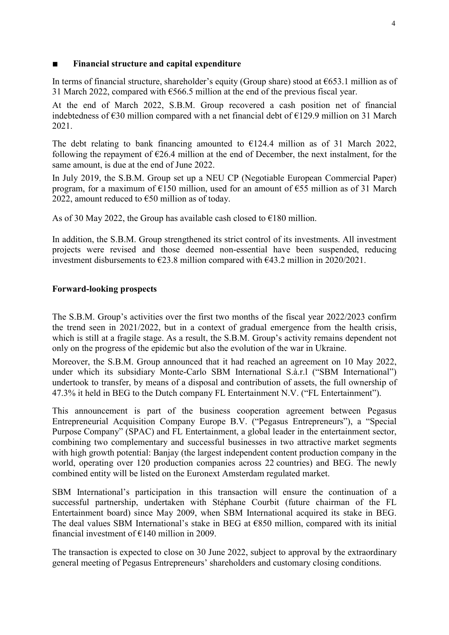### Financial structure and capital expenditure

In terms of financial structure, shareholder's equity (Group share) stood at  $\epsilon$ 653.1 million as of 31 March 2022, compared with  $\epsilon$ 566.5 million at the end of the previous fiscal year.

At the end of March 2022, S.B.M. Group recovered a cash position net of financial indebtedness of  $\epsilon$ 30 million compared with a net financial debt of  $\epsilon$ 129.9 million on 31 March 2021.

The debt relating to bank financing amounted to  $£124.4$  million as of 31 March 2022, following the repayment of  $E26.4$  million at the end of December, the next instalment, for the same amount, is due at the end of June 2022.

In July 2019, the S.B.M. Group set up a NEU CP (Negotiable European Commercial Paper) program, for a maximum of  $E150$  million, used for an amount of  $E55$  million as of 31 March 2022, amount reduced to  $\epsilon$ 50 million as of today.

As of 30 May 2022, the Group has available cash closed to  $\epsilon$ 180 million.

In addition, the S.B.M. Group strengthened its strict control of its investments. All investment projects were revised and those deemed non-essential have been suspended, reducing investment disbursements to  $\epsilon$ 23.8 million compared with  $\epsilon$ 43.2 million in 2020/2021.

# Forward-looking prospects

The S.B.M. Group's activities over the first two months of the fiscal year 2022/2023 confirm the trend seen in 2021/2022, but in a context of gradual emergence from the health crisis, which is still at a fragile stage. As a result, the S.B.M. Group's activity remains dependent not only on the progress of the epidemic but also the evolution of the war in Ukraine.

Moreover, the S.B.M. Group announced that it had reached an agreement on 10 May 2022, under which its subsidiary Monte-Carlo SBM International S.à.r.l ("SBM International") undertook to transfer, by means of a disposal and contribution of assets, the full ownership of 47.3% it held in BEG to the Dutch company FL Entertainment N.V. ("FL Entertainment").

This announcement is part of the business cooperation agreement between Pegasus Entrepreneurial Acquisition Company Europe B.V. ("Pegasus Entrepreneurs"), a "Special Purpose Company" (SPAC) and FL Entertainment, a global leader in the entertainment sector, combining two complementary and successful businesses in two attractive market segments with high growth potential: Banjay (the largest independent content production company in the world, operating over 120 production companies across 22 countries) and BEG. The newly combined entity will be listed on the Euronext Amsterdam regulated market.

SBM International's participation in this transaction will ensure the continuation of a successful partnership, undertaken with Stéphane Courbit (future chairman of the FL Entertainment board) since May 2009, when SBM International acquired its stake in BEG. The deal values SBM International's stake in BEG at  $€850$  million, compared with its initial financial investment of  $E$ 140 million in 2009.

The transaction is expected to close on 30 June 2022, subject to approval by the extraordinary general meeting of Pegasus Entrepreneurs' shareholders and customary closing conditions.